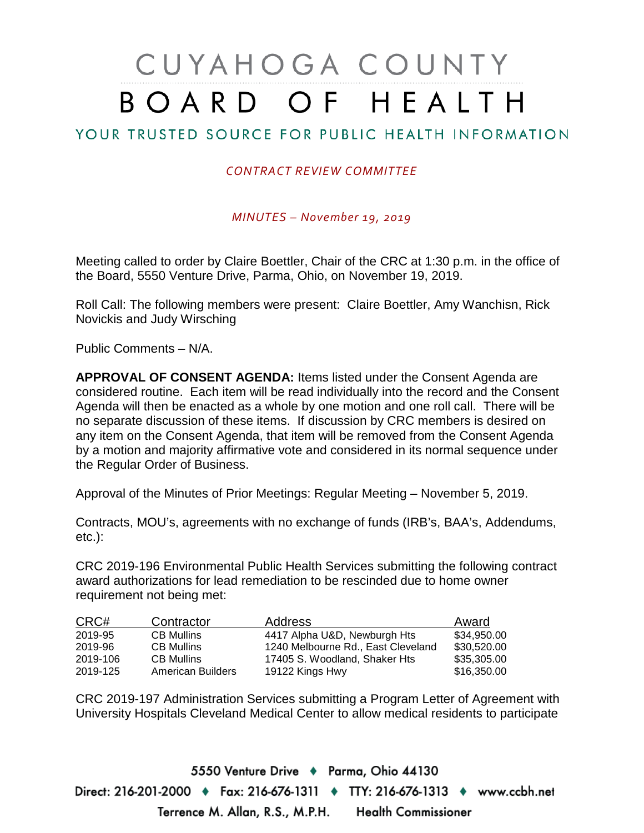# CUYAHOGA COUNTY BOARD OF HEALTH

## YOUR TRUSTED SOURCE FOR PUBLIC HEALTH INFORMATION

### *CONTRACT REVIEW COMMITTEE*

*MINUTES – November 19, 2019*

Meeting called to order by Claire Boettler, Chair of the CRC at 1:30 p.m. in the office of the Board, 5550 Venture Drive, Parma, Ohio, on November 19, 2019.

Roll Call: The following members were present: Claire Boettler, Amy Wanchisn, Rick Novickis and Judy Wirsching

Public Comments – N/A.

**APPROVAL OF CONSENT AGENDA:** Items listed under the Consent Agenda are considered routine. Each item will be read individually into the record and the Consent Agenda will then be enacted as a whole by one motion and one roll call. There will be no separate discussion of these items. If discussion by CRC members is desired on any item on the Consent Agenda, that item will be removed from the Consent Agenda by a motion and majority affirmative vote and considered in its normal sequence under the Regular Order of Business.

Approval of the Minutes of Prior Meetings: Regular Meeting – November 5, 2019.

Contracts, MOU's, agreements with no exchange of funds (IRB's, BAA's, Addendums, etc.):

CRC 2019-196 Environmental Public Health Services submitting the following contract award authorizations for lead remediation to be rescinded due to home owner requirement not being met:

| CRC#     | Contractor        | <b>Address</b>                     | Award       |
|----------|-------------------|------------------------------------|-------------|
| 2019-95  | <b>CB Mullins</b> | 4417 Alpha U&D, Newburgh Hts       | \$34,950.00 |
| 2019-96  | <b>CB Mullins</b> | 1240 Melbourne Rd., East Cleveland | \$30,520.00 |
| 2019-106 | <b>CB Mullins</b> | 17405 S. Woodland, Shaker Hts      | \$35,305.00 |
| 2019-125 | American Builders | 19122 Kings Hwy                    | \$16,350.00 |

CRC 2019-197 Administration Services submitting a Program Letter of Agreement with University Hospitals Cleveland Medical Center to allow medical residents to participate

5550 Venture Drive + Parma, Ohio 44130 Direct: 216-201-2000 ♦ Fax: 216-676-1311 ♦ TTY: 216-676-1313 ♦ www.ccbh.net Terrence M. Allan, R.S., M.P.H. Health Commissioner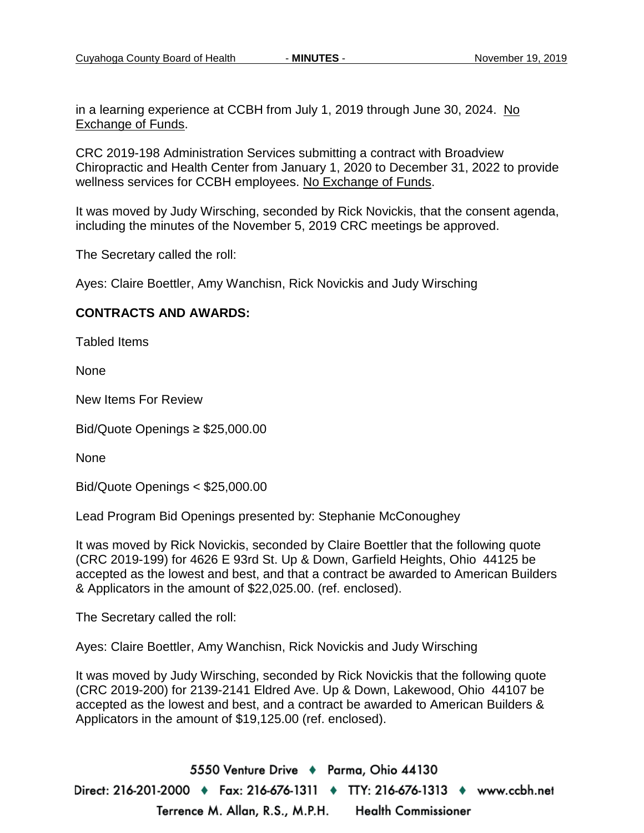in a learning experience at CCBH from July 1, 2019 through June 30, 2024. No Exchange of Funds.

CRC 2019-198 Administration Services submitting a contract with Broadview Chiropractic and Health Center from January 1, 2020 to December 31, 2022 to provide wellness services for CCBH employees. No Exchange of Funds.

It was moved by Judy Wirsching, seconded by Rick Novickis, that the consent agenda, including the minutes of the November 5, 2019 CRC meetings be approved.

The Secretary called the roll:

Ayes: Claire Boettler, Amy Wanchisn, Rick Novickis and Judy Wirsching

#### **CONTRACTS AND AWARDS:**

Tabled Items

None

New Items For Review

Bid/Quote Openings ≥ \$25,000.00

None

Bid/Quote Openings < \$25,000.00

Lead Program Bid Openings presented by: Stephanie McConoughey

It was moved by Rick Novickis, seconded by Claire Boettler that the following quote (CRC 2019-199) for 4626 E 93rd St. Up & Down, Garfield Heights, Ohio 44125 be accepted as the lowest and best, and that a contract be awarded to American Builders & Applicators in the amount of \$22,025.00. (ref. enclosed).

The Secretary called the roll:

Ayes: Claire Boettler, Amy Wanchisn, Rick Novickis and Judy Wirsching

It was moved by Judy Wirsching, seconded by Rick Novickis that the following quote (CRC 2019-200) for 2139-2141 Eldred Ave. Up & Down, Lakewood, Ohio 44107 be accepted as the lowest and best, and a contract be awarded to American Builders & Applicators in the amount of \$19,125.00 (ref. enclosed).

5550 Venture Drive + Parma, Ohio 44130 Direct: 216-201-2000 ♦ Fax: 216-676-1311 ♦ TTY: 216-676-1313 ♦ www.ccbh.net Terrence M. Allan, R.S., M.P.H. **Health Commissioner**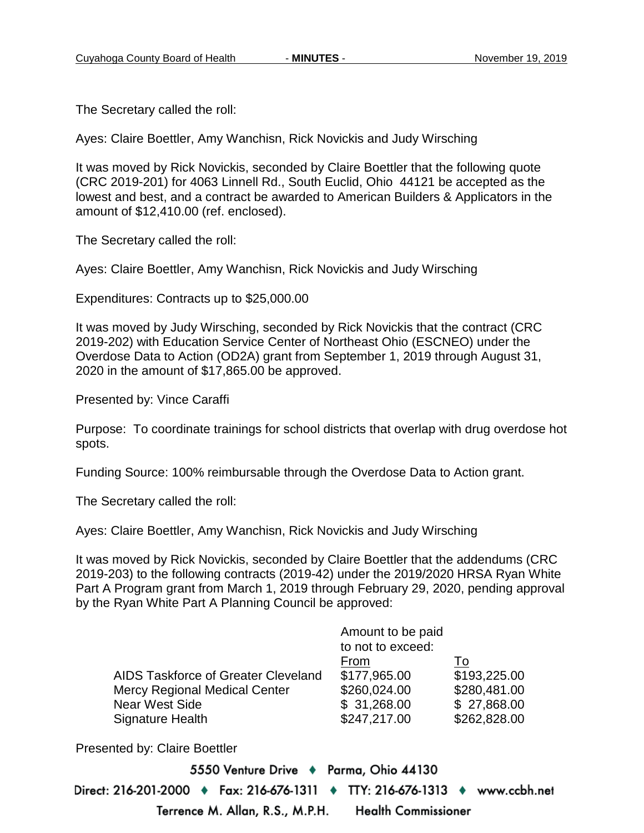The Secretary called the roll:

Ayes: Claire Boettler, Amy Wanchisn, Rick Novickis and Judy Wirsching

It was moved by Rick Novickis, seconded by Claire Boettler that the following quote (CRC 2019-201) for 4063 Linnell Rd., South Euclid, Ohio 44121 be accepted as the lowest and best, and a contract be awarded to American Builders & Applicators in the amount of \$12,410.00 (ref. enclosed).

The Secretary called the roll:

Ayes: Claire Boettler, Amy Wanchisn, Rick Novickis and Judy Wirsching

Expenditures: Contracts up to \$25,000.00

It was moved by Judy Wirsching, seconded by Rick Novickis that the contract (CRC 2019-202) with Education Service Center of Northeast Ohio (ESCNEO) under the Overdose Data to Action (OD2A) grant from September 1, 2019 through August 31, 2020 in the amount of \$17,865.00 be approved.

Presented by: Vince Caraffi

Purpose: To coordinate trainings for school districts that overlap with drug overdose hot spots.

Funding Source: 100% reimbursable through the Overdose Data to Action grant.

The Secretary called the roll:

Ayes: Claire Boettler, Amy Wanchisn, Rick Novickis and Judy Wirsching

It was moved by Rick Novickis, seconded by Claire Boettler that the addendums (CRC 2019-203) to the following contracts (2019-42) under the 2019/2020 HRSA Ryan White Part A Program grant from March 1, 2019 through February 29, 2020, pending approval by the Ryan White Part A Planning Council be approved:

|                                      | Amount to be paid |              |
|--------------------------------------|-------------------|--------------|
|                                      | to not to exceed: |              |
|                                      | From              | 1o           |
| AIDS Taskforce of Greater Cleveland  | \$177,965.00      | \$193,225.00 |
| <b>Mercy Regional Medical Center</b> | \$260,024.00      | \$280,481.00 |
| <b>Near West Side</b>                | \$31,268.00       | \$27,868.00  |
| <b>Signature Health</b>              | \$247,217.00      | \$262,828.00 |

Presented by: Claire Boettler

5550 Venture Drive + Parma, Ohio 44130 Direct: 216-201-2000 ♦ Fax: 216-676-1311 ♦ TTY: 216-676-1313 ♦ www.ccbh.net Terrence M. Allan, R.S., M.P.H. **Health Commissioner**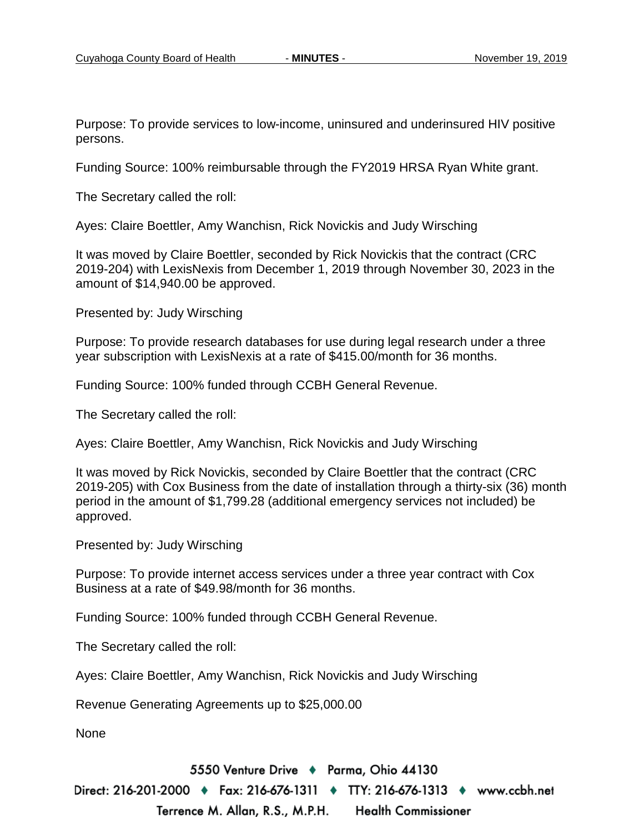Purpose: To provide services to low-income, uninsured and underinsured HIV positive persons.

Funding Source: 100% reimbursable through the FY2019 HRSA Ryan White grant.

The Secretary called the roll:

Ayes: Claire Boettler, Amy Wanchisn, Rick Novickis and Judy Wirsching

It was moved by Claire Boettler, seconded by Rick Novickis that the contract (CRC 2019-204) with LexisNexis from December 1, 2019 through November 30, 2023 in the amount of \$14,940.00 be approved.

Presented by: Judy Wirsching

Purpose: To provide research databases for use during legal research under a three year subscription with LexisNexis at a rate of \$415.00/month for 36 months.

Funding Source: 100% funded through CCBH General Revenue.

The Secretary called the roll:

Ayes: Claire Boettler, Amy Wanchisn, Rick Novickis and Judy Wirsching

It was moved by Rick Novickis, seconded by Claire Boettler that the contract (CRC 2019-205) with Cox Business from the date of installation through a thirty-six (36) month period in the amount of \$1,799.28 (additional emergency services not included) be approved.

Presented by: Judy Wirsching

Purpose: To provide internet access services under a three year contract with Cox Business at a rate of \$49.98/month for 36 months.

Funding Source: 100% funded through CCBH General Revenue.

The Secretary called the roll:

Ayes: Claire Boettler, Amy Wanchisn, Rick Novickis and Judy Wirsching

Revenue Generating Agreements up to \$25,000.00

None

5550 Venture Drive + Parma, Ohio 44130

Direct: 216-201-2000 ♦ Fax: 216-676-1311 ♦ TTY: 216-676-1313 ♦ www.ccbh.net Terrence M. Allan, R.S., M.P.H. Health Commissioner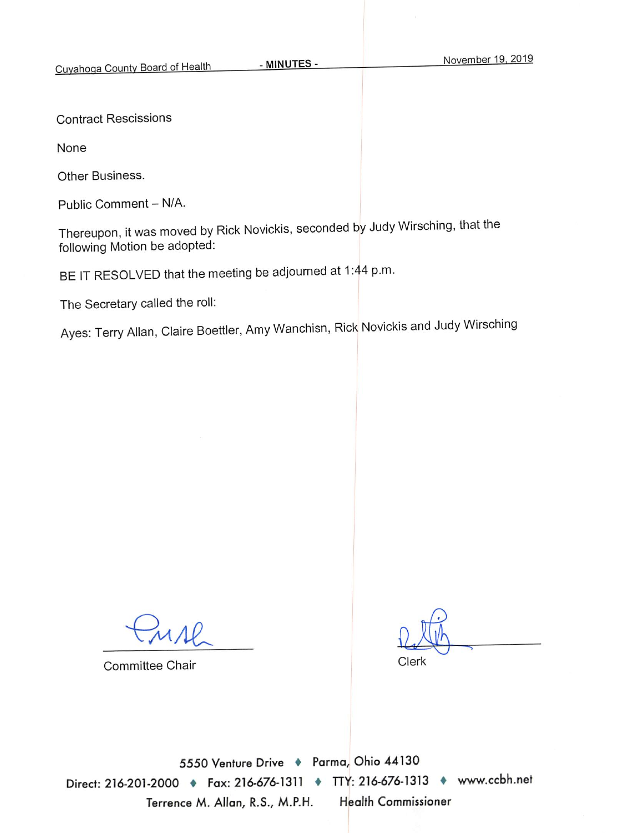**Contract Rescissions** 

None

Other Business.

Public Comment - N/A.

Thereupon, it was moved by Rick Novickis, seconded by Judy Wirsching, that the following Motion be adopted:

BE IT RESOLVED that the meeting be adjourned at 1:44 p.m.

The Secretary called the roll:

Ayes: Terry Allan, Claire Boettler, Amy Wanchisn, Rick Novickis and Judy Wirsching

 $MAP$ 

**Committee Chair** 

Clerk

5550 Venture Drive + Parma, Ohio 44130 Direct: 216-201-2000 + Fax: 216-676-1311 + TTY: 216-676-1313 + www.ccbh.net Terrence M. Allan, R.S., M.P.H. **Health Commissioner**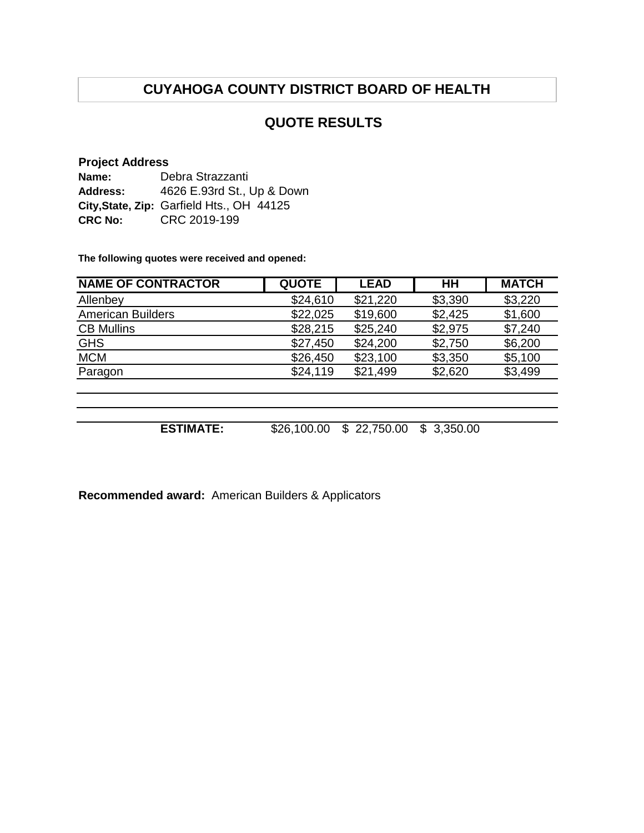# **CUYAHOGA COUNTY DISTRICT BOARD OF HEALTH**

## **QUOTE RESULTS**

#### **Project Address**

| Name:          | Debra Strazzanti                          |
|----------------|-------------------------------------------|
| Address:       | 4626 E.93rd St., Up & Down                |
|                | City, State, Zip: Garfield Hts., OH 44125 |
| <b>CRC No:</b> | CRC 2019-199                              |

**The following quotes were received and opened:**

| <b>NAME OF CONTRACTOR</b> | <b>QUOTE</b> | <b>LEAD</b>    | HН              | <b>MATCH</b> |
|---------------------------|--------------|----------------|-----------------|--------------|
| Allenbey                  | \$24,610     | \$21,220       | \$3,390         | \$3,220      |
| <b>American Builders</b>  | \$22,025     | \$19,600       | \$2,425         | \$1,600      |
| <b>CB Mullins</b>         | \$28,215     | \$25,240       | \$2,975         | \$7,240      |
| <b>GHS</b>                | \$27,450     | \$24,200       | \$2,750         | \$6,200      |
| <b>MCM</b>                | \$26,450     | \$23,100       | \$3,350         | \$5,100      |
| Paragon                   | \$24,119     | \$21,499       | \$2,620         | \$3,499      |
|                           |              |                |                 |              |
|                           |              |                |                 |              |
|                           |              |                |                 |              |
| <b>ESTIMATE:</b>          | \$26,100.00  | 22,750.00<br>S | 3,350.00<br>\$. |              |

**Recommended award:** American Builders & Applicators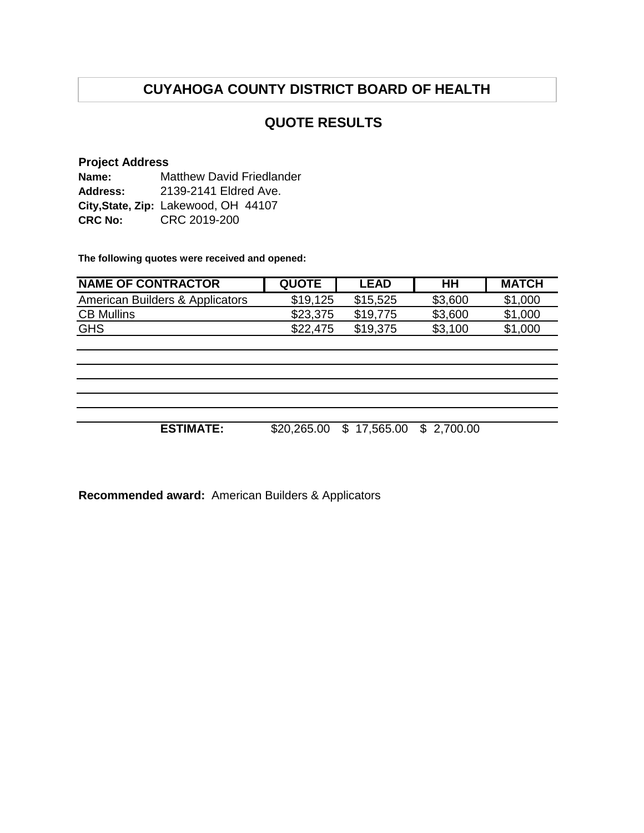# **CUYAHOGA COUNTY DISTRICT BOARD OF HEALTH**

## **QUOTE RESULTS**

#### **Project Address Name: Address:** 2139-2141 Eldred Ave. **City,State, Zip:** Lakewood, OH 44107 **CRC No:** CRC 2019-200 Matthew David Friedlander

**The following quotes were received and opened:**

| <b>NAME OF CONTRACTOR</b>       | <b>QUOTE</b> | <b>LEAD</b> | HН      | <b>MATCH</b> |
|---------------------------------|--------------|-------------|---------|--------------|
| American Builders & Applicators | \$19,125     | \$15,525    | \$3,600 | \$1,000      |
| <b>CB Mullins</b>               | \$23,375     | \$19,775    | \$3,600 | \$1,000      |
| <b>GHS</b>                      | \$22,475     | \$19.375    | \$3,100 | \$1,000      |

**ESTIMATE:** \$20,265.00 \$ 17,565.00 \$ 2,700.00

**Recommended award:** American Builders & Applicators